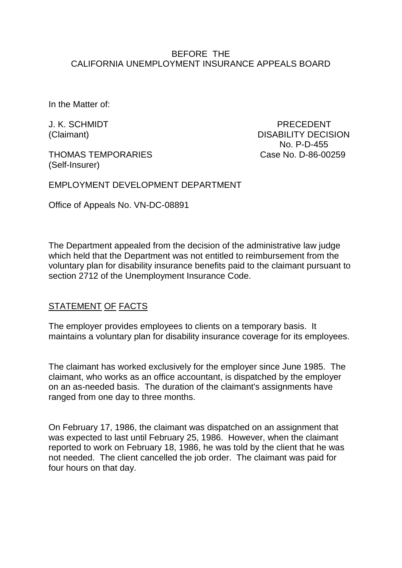#### BEFORE THE CALIFORNIA UNEMPLOYMENT INSURANCE APPEALS BOARD

In the Matter of:

THOMAS TEMPORARIES Case No. D-86-00259 (Self-Insurer)

J. K. SCHMIDT PRECEDENT (Claimant) DISABILITY DECISION No. P-D-455

EMPLOYMENT DEVELOPMENT DEPARTMENT

Office of Appeals No. VN-DC-08891

The Department appealed from the decision of the administrative law judge which held that the Department was not entitled to reimbursement from the voluntary plan for disability insurance benefits paid to the claimant pursuant to section 2712 of the Unemployment Insurance Code.

### STATEMENT OF FACTS

The employer provides employees to clients on a temporary basis. It maintains a voluntary plan for disability insurance coverage for its employees.

The claimant has worked exclusively for the employer since June 1985. The claimant, who works as an office accountant, is dispatched by the employer on an as-needed basis. The duration of the claimant's assignments have ranged from one day to three months.

On February 17, 1986, the claimant was dispatched on an assignment that was expected to last until February 25, 1986. However, when the claimant reported to work on February 18, 1986, he was told by the client that he was not needed. The client cancelled the job order. The claimant was paid for four hours on that day.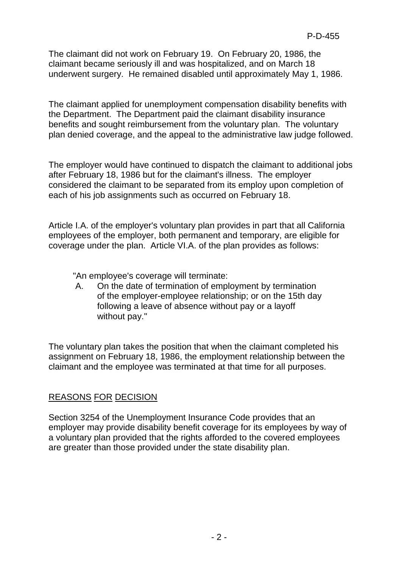The claimant did not work on February 19. On February 20, 1986, the claimant became seriously ill and was hospitalized, and on March 18 underwent surgery. He remained disabled until approximately May 1, 1986.

The claimant applied for unemployment compensation disability benefits with the Department. The Department paid the claimant disability insurance benefits and sought reimbursement from the voluntary plan. The voluntary plan denied coverage, and the appeal to the administrative law judge followed.

The employer would have continued to dispatch the claimant to additional jobs after February 18, 1986 but for the claimant's illness. The employer considered the claimant to be separated from its employ upon completion of each of his job assignments such as occurred on February 18.

Article I.A. of the employer's voluntary plan provides in part that all California employees of the employer, both permanent and temporary, are eligible for coverage under the plan. Article VI.A. of the plan provides as follows:

"An employee's coverage will terminate:

A. On the date of termination of employment by termination of the employer-employee relationship; or on the 15th day following a leave of absence without pay or a layoff without pay."

The voluntary plan takes the position that when the claimant completed his assignment on February 18, 1986, the employment relationship between the claimant and the employee was terminated at that time for all purposes.

# REASONS FOR DECISION

Section 3254 of the Unemployment Insurance Code provides that an employer may provide disability benefit coverage for its employees by way of a voluntary plan provided that the rights afforded to the covered employees are greater than those provided under the state disability plan.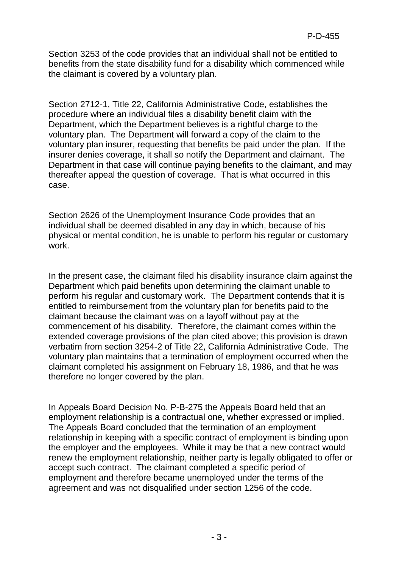Section 3253 of the code provides that an individual shall not be entitled to benefits from the state disability fund for a disability which commenced while the claimant is covered by a voluntary plan.

Section 2712-1, Title 22, California Administrative Code, establishes the procedure where an individual files a disability benefit claim with the Department, which the Department believes is a rightful charge to the voluntary plan. The Department will forward a copy of the claim to the voluntary plan insurer, requesting that benefits be paid under the plan. If the insurer denies coverage, it shall so notify the Department and claimant. The Department in that case will continue paying benefits to the claimant, and may thereafter appeal the question of coverage. That is what occurred in this case.

Section 2626 of the Unemployment Insurance Code provides that an individual shall be deemed disabled in any day in which, because of his physical or mental condition, he is unable to perform his regular or customary work.

In the present case, the claimant filed his disability insurance claim against the Department which paid benefits upon determining the claimant unable to perform his regular and customary work. The Department contends that it is entitled to reimbursement from the voluntary plan for benefits paid to the claimant because the claimant was on a layoff without pay at the commencement of his disability. Therefore, the claimant comes within the extended coverage provisions of the plan cited above; this provision is drawn verbatim from section 3254-2 of Title 22, California Administrative Code. The voluntary plan maintains that a termination of employment occurred when the claimant completed his assignment on February 18, 1986, and that he was therefore no longer covered by the plan.

In Appeals Board Decision No. P-B-275 the Appeals Board held that an employment relationship is a contractual one, whether expressed or implied. The Appeals Board concluded that the termination of an employment relationship in keeping with a specific contract of employment is binding upon the employer and the employees. While it may be that a new contract would renew the employment relationship, neither party is legally obligated to offer or accept such contract. The claimant completed a specific period of employment and therefore became unemployed under the terms of the agreement and was not disqualified under section 1256 of the code.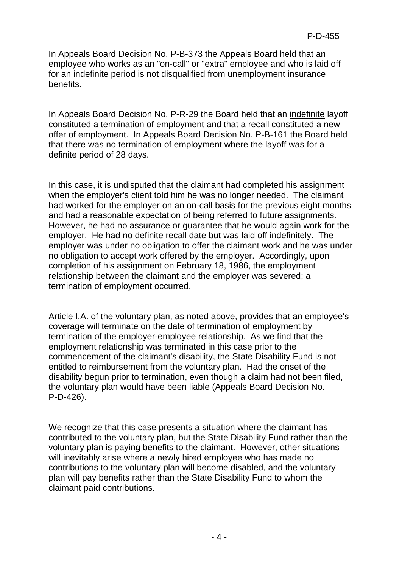In Appeals Board Decision No. P-B-373 the Appeals Board held that an employee who works as an "on-call" or "extra" employee and who is laid off for an indefinite period is not disqualified from unemployment insurance benefits.

In Appeals Board Decision No. P-R-29 the Board held that an indefinite layoff constituted a termination of employment and that a recall constituted a new offer of employment. In Appeals Board Decision No. P-B-161 the Board held that there was no termination of employment where the layoff was for a definite period of 28 days.

In this case, it is undisputed that the claimant had completed his assignment when the employer's client told him he was no longer needed. The claimant had worked for the employer on an on-call basis for the previous eight months and had a reasonable expectation of being referred to future assignments. However, he had no assurance or guarantee that he would again work for the employer. He had no definite recall date but was laid off indefinitely. The employer was under no obligation to offer the claimant work and he was under no obligation to accept work offered by the employer. Accordingly, upon completion of his assignment on February 18, 1986, the employment relationship between the claimant and the employer was severed; a termination of employment occurred.

Article I.A. of the voluntary plan, as noted above, provides that an employee's coverage will terminate on the date of termination of employment by termination of the employer-employee relationship. As we find that the employment relationship was terminated in this case prior to the commencement of the claimant's disability, the State Disability Fund is not entitled to reimbursement from the voluntary plan. Had the onset of the disability begun prior to termination, even though a claim had not been filed, the voluntary plan would have been liable (Appeals Board Decision No. P-D-426).

We recognize that this case presents a situation where the claimant has contributed to the voluntary plan, but the State Disability Fund rather than the voluntary plan is paying benefits to the claimant. However, other situations will inevitably arise where a newly hired employee who has made no contributions to the voluntary plan will become disabled, and the voluntary plan will pay benefits rather than the State Disability Fund to whom the claimant paid contributions.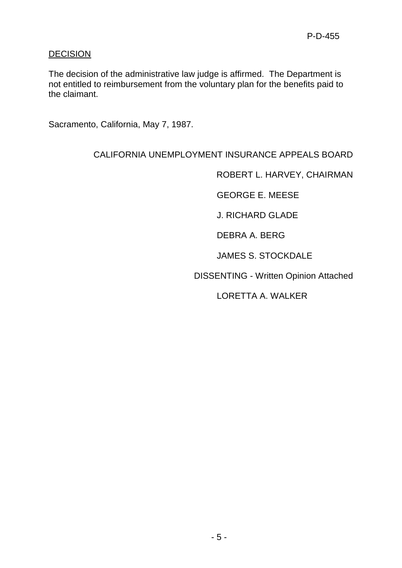### **DECISION**

The decision of the administrative law judge is affirmed. The Department is not entitled to reimbursement from the voluntary plan for the benefits paid to the claimant.

Sacramento, California, May 7, 1987.

## CALIFORNIA UNEMPLOYMENT INSURANCE APPEALS BOARD

ROBERT L. HARVEY, CHAIRMAN

GEORGE E. MEESE

J. RICHARD GLADE

DEBRA A. BERG

JAMES S. STOCKDALE

DISSENTING - Written Opinion Attached

LORETTA A. WALKER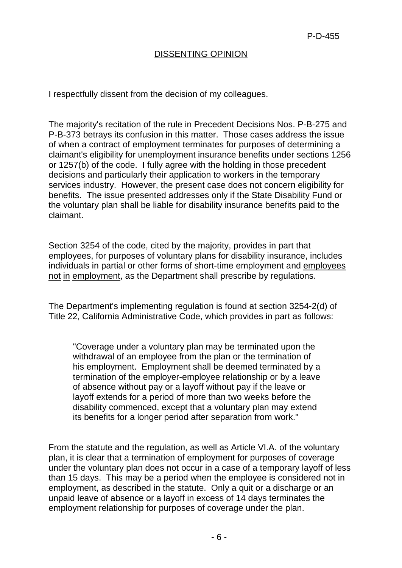### DISSENTING OPINION

I respectfully dissent from the decision of my colleagues.

The majority's recitation of the rule in Precedent Decisions Nos. P-B-275 and P-B-373 betrays its confusion in this matter. Those cases address the issue of when a contract of employment terminates for purposes of determining a claimant's eligibility for unemployment insurance benefits under sections 1256 or 1257(b) of the code. I fully agree with the holding in those precedent decisions and particularly their application to workers in the temporary services industry. However, the present case does not concern eligibility for benefits. The issue presented addresses only if the State Disability Fund or the voluntary plan shall be liable for disability insurance benefits paid to the claimant.

Section 3254 of the code, cited by the majority, provides in part that employees, for purposes of voluntary plans for disability insurance, includes individuals in partial or other forms of short-time employment and employees not in employment, as the Department shall prescribe by regulations.

The Department's implementing regulation is found at section 3254-2(d) of Title 22, California Administrative Code, which provides in part as follows:

"Coverage under a voluntary plan may be terminated upon the withdrawal of an employee from the plan or the termination of his employment. Employment shall be deemed terminated by a termination of the employer-employee relationship or by a leave of absence without pay or a layoff without pay if the leave or layoff extends for a period of more than two weeks before the disability commenced, except that a voluntary plan may extend its benefits for a longer period after separation from work."

From the statute and the regulation, as well as Article VI.A. of the voluntary plan, it is clear that a termination of employment for purposes of coverage under the voluntary plan does not occur in a case of a temporary layoff of less than 15 days. This may be a period when the employee is considered not in employment, as described in the statute. Only a quit or a discharge or an unpaid leave of absence or a layoff in excess of 14 days terminates the employment relationship for purposes of coverage under the plan.